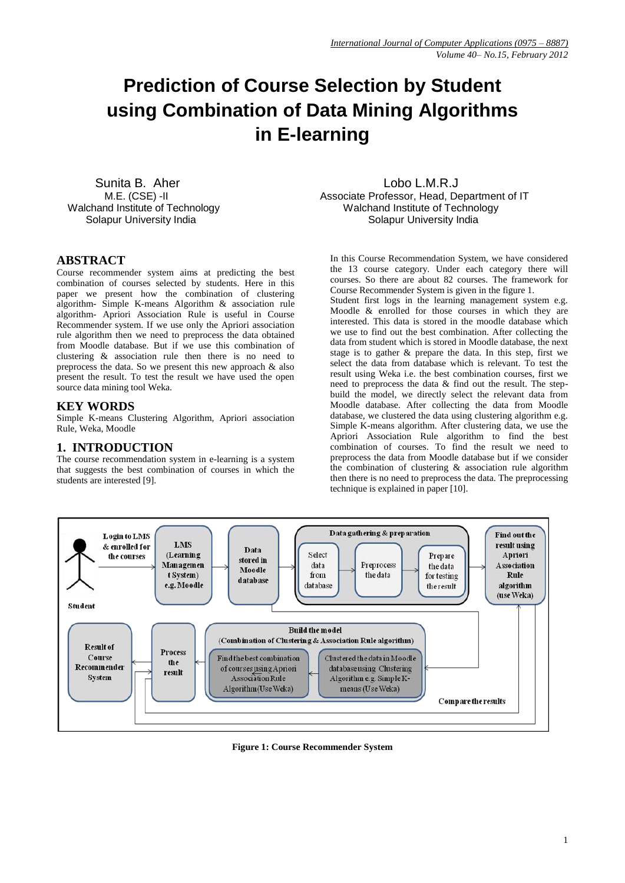# **Prediction of Course Selection by Student using Combination of Data Mining Algorithms in E-learning**

Sunita B. Aher Lobo L.M.R.J

 M.E. (CSE) -II Associate Professor, Head, Department of IT Walchand Institute of Technology Walchand Institute of Technology Solapur University India **Solapur University India** Solapur University India

## **ABSTRACT**

Course recommender system aims at predicting the best combination of courses selected by students. Here in this paper we present how the combination of clustering algorithm- Simple K-means Algorithm & association rule algorithm- Apriori Association Rule is useful in Course Recommender system. If we use only the Apriori association rule algorithm then we need to preprocess the data obtained from Moodle database. But if we use this combination of clustering & association rule then there is no need to preprocess the data. So we present this new approach & also present the result. To test the result we have used the open source data mining tool Weka.

## **KEY WORDS**

Simple K-means Clustering Algorithm, Apriori association Rule, Weka, Moodle

## **1. INTRODUCTION**

The course recommendation system in e-learning is a system that suggests the best combination of courses in which the students are interested [9].

In this Course Recommendation System, we have considered the 13 course category. Under each category there will courses. So there are about 82 courses. The framework for Course Recommender System is given in the figure 1.

Student first logs in the learning management system e.g. Moodle & enrolled for those courses in which they are interested. This data is stored in the moodle database which we use to find out the best combination. After collecting the data from student which is stored in Moodle database, the next stage is to gather & prepare the data. In this step, first we select the data from database which is relevant. To test the result using Weka i.e. the best combination courses, first we need to preprocess the data & find out the result. The stepbuild the model, we directly select the relevant data from Moodle database. After collecting the data from Moodle database, we clustered the data using clustering algorithm e.g. Simple K-means algorithm. After clustering data, we use the Apriori Association Rule algorithm to find the best combination of courses. To find the result we need to preprocess the data from Moodle database but if we consider the combination of clustering  $\&$  association rule algorithm then there is no need to preprocess the data. The preprocessing technique is explained in paper [10].



**Figure 1: Course Recommender System**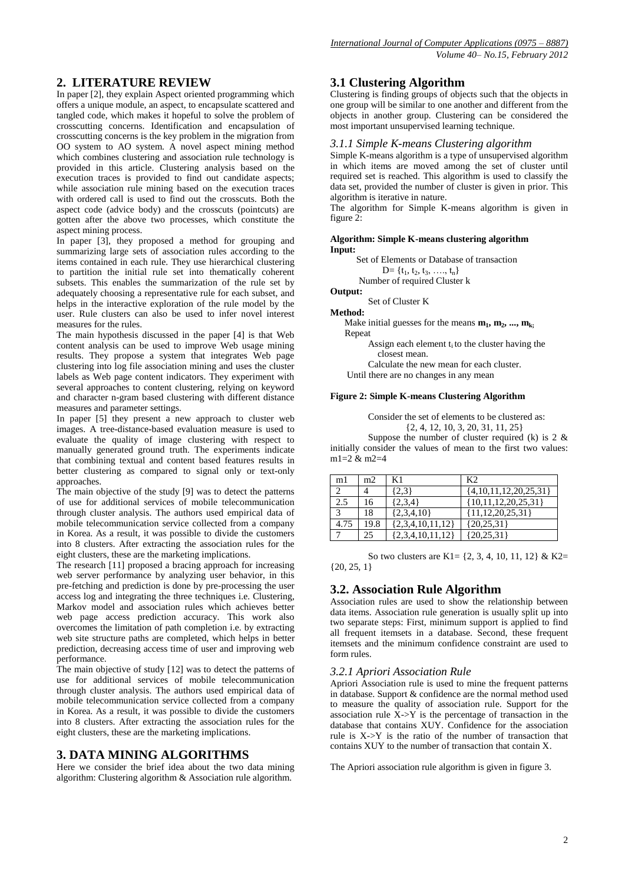## **2. LITERATURE REVIEW**

In paper [2], they explain Aspect oriented programming which offers a unique module, an aspect, to encapsulate scattered and tangled code, which makes it hopeful to solve the problem of crosscutting concerns. Identification and encapsulation of crosscutting concerns is the key problem in the migration from OO system to AO system. A novel aspect mining method which combines clustering and association rule technology is provided in this article. Clustering analysis based on the execution traces is provided to find out candidate aspects; while association rule mining based on the execution traces with ordered call is used to find out the crosscuts. Both the aspect code (advice body) and the crosscuts (pointcuts) are gotten after the above two processes, which constitute the aspect mining process.

In paper [3], they proposed a method for grouping and summarizing large sets of association rules according to the items contained in each rule. They use hierarchical clustering to partition the initial rule set into thematically coherent subsets. This enables the summarization of the rule set by adequately choosing a representative rule for each subset, and helps in the interactive exploration of the rule model by the user. Rule clusters can also be used to infer novel interest measures for the rules.

The main hypothesis discussed in the paper [4] is that Web content analysis can be used to improve Web usage mining results. They propose a system that integrates Web page clustering into log file association mining and uses the cluster labels as Web page content indicators. They experiment with several approaches to content clustering, relying on keyword and character n-gram based clustering with different distance measures and parameter settings.

In paper  $[5]$  they present a new approach to cluster web images. A tree-distance-based evaluation measure is used to evaluate the quality of image clustering with respect to manually generated ground truth. The experiments indicate that combining textual and content based features results in better clustering as compared to signal only or text-only approaches.

The main objective of the study [9] was to detect the patterns of use for additional services of mobile telecommunication through cluster analysis. The authors used empirical data of mobile telecommunication service collected from a company in Korea. As a result, it was possible to divide the customers into 8 clusters. After extracting the association rules for the eight clusters, these are the marketing implications.

The research [11] proposed a bracing approach for increasing web server performance by analyzing user behavior, in this pre-fetching and prediction is done by pre-processing the user access log and integrating the three techniques i.e. Clustering, Markov model and association rules which achieves better web page access prediction accuracy. This work also overcomes the limitation of path completion i.e. by extracting web site structure paths are completed, which helps in better prediction, decreasing access time of user and improving web performance.

The main objective of study [12] was to detect the patterns of use for additional services of mobile telecommunication through cluster analysis. The authors used empirical data of mobile telecommunication service collected from a company in Korea. As a result, it was possible to divide the customers into 8 clusters. After extracting the association rules for the eight clusters, these are the marketing implications.

# **3. DATA MINING ALGORITHMS**

Here we consider the brief idea about the two data mining algorithm: Clustering algorithm & Association rule algorithm.

## **3.1 Clustering Algorithm**

Clustering is finding groups of objects such that the objects in one group will be similar to one another and different from the objects in another group. Clustering can be considered the most important unsupervised learning technique.

#### *3.1.1 Simple K-means Clustering algorithm*

Simple K-means algorithm is a type of unsupervised algorithm in which items are moved among the set of cluster until required set is reached. This algorithm is used to classify the data set, provided the number of cluster is given in prior. This algorithm is iterative in nature.

The algorithm for Simple K-means algorithm is given in figure 2:

**Algorithm: Simple K-means clustering algorithm Input:**

Set of Elements or Database of transaction

 $D = \{t_1, t_2, t_3, \ldots, t_n\}$ Number of required Cluster k

**Output:**

Set of Cluster K

**Method:**

Make initial guesses for the means  $m_1, m_2, ..., m_k$ Repeat

> Assign each element  $t_i$  to the cluster having the closest mean.

Calculate the new mean for each cluster.

Until there are no changes in any mean

#### **Figure 2: Simple K-means Clustering Algorithm**

Consider the set of elements to be clustered as: {2, 4, 12, 10, 3, 20, 31, 11, 25}

Suppose the number of cluster required (k) is  $2 \&$ initially consider the values of mean to the first two values: m1=2 & m2=4

| m1   | m <sub>2</sub> | K1                   | K <sub>2</sub>            |
|------|----------------|----------------------|---------------------------|
|      |                | $\{2,3\}$            | $\{4,10,11,12,20,25,31\}$ |
| 2.5  | 16             | $\{2,3,4\}$          | ${10,11,12,20,25,31}$     |
|      | 18             | $\{2,3,4,10\}$       | ${11, 12, 20, 25, 31}$    |
| 4.75 | 19.8           | ${2,3,4,10,11,12}$   | ${20,25,31}$              |
|      | 25             | $\{2,3,4,10,11,12\}$ | ${20,25,31}$              |

So two clusters are K1= {2, 3, 4, 10, 11, 12} & K2=  $\{20, 25, 1\}$ 

## **3.2. Association Rule Algorithm**

Association rules are used to show the relationship between data items. Association rule generation is usually split up into two separate steps: First, minimum support is applied to find all frequent itemsets in a database. Second, these frequent itemsets and the minimum confidence constraint are used to form rules.

## *3.2.1 Apriori Association Rule*

Apriori Association rule is used to mine the frequent patterns in database. Support & confidence are the normal method used to measure the quality of association rule. Support for the association rule  $\bar{X}$ ->Y is the percentage of transaction in the database that contains XUY. Confidence for the association rule is X->Y is the ratio of the number of transaction that contains XUY to the number of transaction that contain X.

The Apriori association rule algorithm is given in figure 3.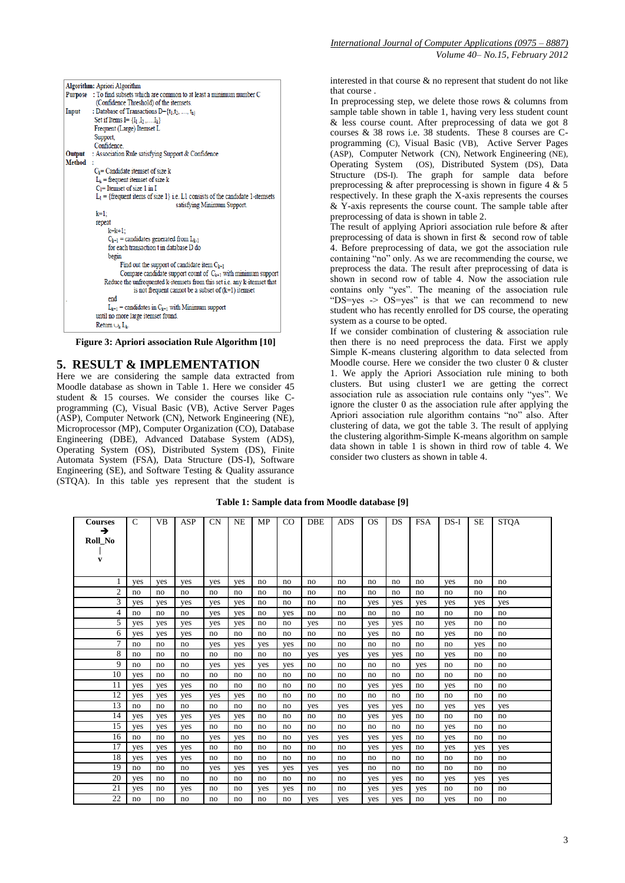|                | Algorithm: Apriori Algorithm                                                    |
|----------------|---------------------------------------------------------------------------------|
| <b>Purpose</b> | : To find subsets which are common to at least a minimum number C               |
|                | (Confidence Threshold) of the itemsets.                                         |
| Input          | : Database of Transactions $D = \{t_1, t_2, , t_n\}$                            |
|                | Set if Items I = $\{I_1, I_2, \ldots, I_k\}$                                    |
|                | Frequent (Large) Itemset L                                                      |
|                | Support,                                                                        |
|                | Confidence                                                                      |
| Output         | : Association Rule satisfying Support & Confidence                              |
| Method:        |                                                                                 |
|                | $C_k$ = Candidate itemset of size k                                             |
|                | $L_k$ = frequent itemset of size k                                              |
|                | $C_1$ = Itemset of size 1 in I                                                  |
|                | $L_1$ = {frequent items of size 1} i.e. L1 consists of the candidate 1-itemsets |
|                | satisfying Minimum Support.                                                     |
|                | k=1:                                                                            |
|                | repeat                                                                          |
|                | $k=k+1$ :                                                                       |
|                | $C_{k+1}$ = candidates generated from $L_{k-1}$                                 |
|                | for each transaction t in database D do                                         |
|                | begin                                                                           |
|                | Find out the support of candidate item $C_{k+1}$                                |
|                | Compare candidate support count of $C_{k+1}$ with minimum support               |
|                | Reduce the unfrequented k-itemsets from this set i.e. any k-itemset that        |
|                | is not frequent cannot be a subset of $(k+1)$ itemset                           |
|                | end                                                                             |
|                | $L_{k+1}$ = candidates in $C_{k+1}$ with Minimum support                        |
|                | until no more large itemset found.                                              |
|                | Return $\cup_k$ $L_k$ .                                                         |

**Figure 3: Apriori association Rule Algorithm [10]**

### **5. RESULT & IMPLEMENTATION**

Here we are considering the sample data extracted from Moodle database as shown in Table 1. Here we consider 45 student & 15 courses. We consider the courses like Cprogramming (C), Visual Basic (VB), Active Server Pages (ASP), Computer Network (CN), Network Engineering (NE), Microprocessor (MP), Computer Organization (CO), Database Engineering (DBE), Advanced Database System (ADS), Operating System (OS), Distributed System (DS), Finite Automata System (FSA), Data Structure (DS-I), Software Engineering (SE), and Software Testing & Quality assurance (STQA). In this table yes represent that the student is interested in that course & no represent that student do not like that course .

In preprocessing step, we delete those rows  $\&$  columns from sample table shown in table 1, having very less student count & less course count. After preprocessing of data we got 8 courses & 38 rows i.e. 38 students. These 8 courses are Cprogramming (C), Visual Basic (VB), Active Server Pages (ASP), Computer Network (CN), Network Engineering (NE), Operating System (OS), Distributed System (DS), Data Structure (DS-I). The graph for sample data before preprocessing  $\&$  after preprocessing is shown in figure 4  $\&$  5 respectively. In these graph the X-axis represents the courses & Y-axis represents the course count. The sample table after preprocessing of data is shown in table 2.

The result of applying Apriori association rule before & after preprocessing of data is shown in first & second row of table 4. Before preprocessing of data, we got the association rule containing "no" only. As we are recommending the course, we preprocess the data. The result after preprocessing of data is shown in second row of table 4. Now the association rule contains only "yes". The meaning of the association rule "DS=yes -> OS=yes" is that we can recommend to new student who has recently enrolled for DS course, the operating system as a course to be opted.

If we consider combination of clustering & association rule then there is no need preprocess the data. First we apply Simple K-means clustering algorithm to data selected from Moodle course. Here we consider the two cluster 0 & cluster 1. We apply the Apriori Association rule mining to both clusters. But using cluster1 we are getting the correct association rule as association rule contains only "yes". We ignore the cluster 0 as the association rule after applying the Apriori association rule algorithm contains "no" also. After clustering of data, we got the table 3. The result of applying the clustering algorithm-Simple K-means algorithm on sample data shown in table 1 is shown in third row of table 4. We consider two clusters as shown in table 4.

| <b>Courses</b><br>→<br>Roll_No<br>V | $\mathsf{C}$ | <b>VB</b> | ASP | <b>CN</b> | <b>NE</b> | MP  | CO. | <b>DBE</b> | ADS | <b>OS</b> | DS  | <b>FSA</b> | $DS-I$ | <b>SE</b> | <b>STQA</b> |
|-------------------------------------|--------------|-----------|-----|-----------|-----------|-----|-----|------------|-----|-----------|-----|------------|--------|-----------|-------------|
|                                     | yes          | yes       | yes | yes       | yes       | no  | no  | no         | no  | no        | no  | no         | yes    | no        | no          |
| $\mathfrak{2}$                      | no           | no        | no  | no        | no        | no  | no  | no         | no  | no        | no  | no         | no     | no        | no          |
| 3                                   | yes          | yes       | yes | yes       | yes       | no  | no  | no         | no  | yes       | yes | yes        | yes    | yes       | yes         |
| 4                                   | no           | no        | no  | yes       | yes       | no  | yes | no         | no  | no        | no  | no         | no     | no        | no          |
| 5                                   | yes          | yes       | yes | yes       | yes       | no  | no  | yes        | no  | yes       | yes | no         | yes    | no        | no          |
| 6                                   | yes          | yes       | yes | no        | no        | no  | no  | no         | no  | yes       | no  | no         | yes    | no        | no          |
| 7                                   | no           | no        | no  | yes       | yes       | yes | yes | no         | no  | no        | no  | no         | no     | yes       | no          |
| 8                                   | no           | no        | no  | no        | no        | no  | no  | yes        | yes | yes       | yes | no         | yes    | no        | no          |
| 9                                   | no           | no        | no  | yes       | yes       | yes | yes | no         | no  | no        | no  | yes        | no     | no        | no          |
| 10                                  | yes          | no        | no  | no        | no        | no  | no  | no         | no  | no        | no  | no         | no     | no        | no          |
| 11                                  | yes          | yes       | yes | no        | no        | no  | no  | no         | no  | yes       | yes | no         | yes    | no        | no          |
| 12                                  | yes          | yes       | yes | yes       | yes       | no  | no  | no         | no  | no        | no  | no         | no     | no        | no          |
| 13                                  | no           | no        | no  | no        | no        | no  | no  | yes        | yes | yes       | yes | no         | yes    | yes       | yes         |
| 14                                  | yes          | yes       | yes | yes       | yes       | no  | no  | no         | no  | yes       | yes | no         | no     | no        | no          |
| 15                                  | yes          | yes       | yes | no        | no        | no  | no  | no         | no  | no        | no  | no         | yes    | no        | no          |
| 16                                  | no           | no        | no  | yes       | yes       | no  | no  | yes        | yes | yes       | yes | no         | yes    | no        | no          |
| 17                                  | yes          | yes       | yes | no        | no        | no  | no  | no         | no  | yes       | yes | no         | yes    | yes       | yes         |
| 18                                  | yes          | yes       | yes | no        | no        | no  | no  | no         | no  | no        | no  | no         | no     | no        | no          |
| 19                                  | no           | no        | no  | yes       | yes       | yes | yes | yes        | yes | no        | no  | no         | no     | no        | no          |
| 20                                  | yes          | no        | no  | no        | no        | no  | no  | no         | no  | yes       | yes | no         | yes    | yes       | yes         |
| 21                                  | yes          | no        | yes | no        | no        | yes | yes | no         | no  | yes       | yes | yes        | no     | no        | no          |
| 22                                  | no           | no        | no  | no        | no        | no  | no  | ves        | yes | yes       | yes | no         | yes    | no        | no          |

**Table 1: Sample data from Moodle database [9]**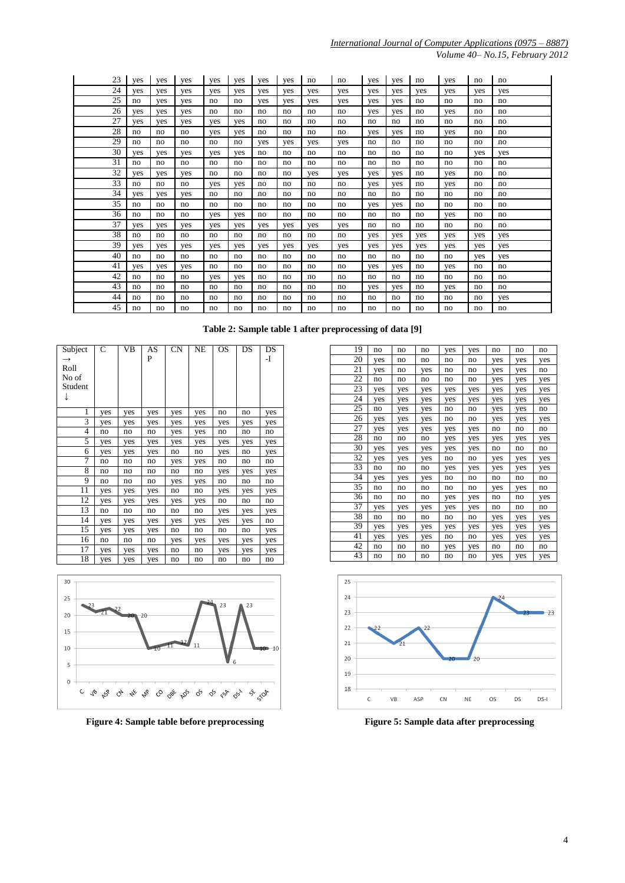*Volume 40– No.15, February 2012*

| 23 | ves | ves | yes | yes | ves | ves | yes | no  | no  | yes | yes | no  | yes | no  | no  |
|----|-----|-----|-----|-----|-----|-----|-----|-----|-----|-----|-----|-----|-----|-----|-----|
| 24 | ves | ves | ves | yes | ves | ves | ves | yes | yes | yes | yes | yes | yes | yes | ves |
| 25 | no  | ves | ves | no  | no  | ves | ves | ves | ves | yes | ves | no  | no  | no  | no  |
| 26 | yes | yes | yes | no  | no  | no  | no  | no  | no  | yes | yes | no  | yes | no  | no  |
| 27 | ves | yes | yes | ves | ves | no  | no  | no  | no  | no  | no  | no  | no  | no  | no  |
| 28 | no  | no  | no  | yes | ves | no  | no  | no  | no  | yes | yes | no  | yes | no  | no  |
| 29 | no  | no  | no  | no  | no  | ves | ves | ves | ves | no  | no  | no  | no  | no  | no  |
| 30 | yes | yes | yes | yes | yes | no  | no  | no  | no  | no  | no  | no  | no  | yes | yes |
| 31 | no  | no  | no  | no  | no  | no  | no  | no  | no  | no  | no  | no  | no  | no  | no  |
| 32 | yes | yes | yes | no  | no  | no  | no  | yes | yes | yes | yes | no  | yes | no  | no  |
| 33 | no  | no  | no  | ves | ves | no  | no  | no  | no  | ves | ves | no  | ves | no  | no  |
| 34 | ves | ves | ves | no  | no  | no  | no  | no  | no  | no  | no  | no  | no  | no  | no  |
| 35 | no  | no  | no  | no  | no  | no  | no  | no  | no  | yes | ves | no  | no  | no  | no  |
| 36 | no  | no  | no  | ves | ves | no  | no  | no  | no  | no  | no  | no  | yes | no  | no  |
| 37 | yes | yes | yes | yes | yes | yes | yes | yes | yes | no  | no  | no  | no  | no  | no  |
| 38 | no  | no  | no  | no  | no  | no  | no  | no  | no  | ves | ves | yes | yes | ves | ves |
| 39 | yes | yes | yes | yes | yes | yes | yes | yes | yes | yes | yes | yes | yes | yes | yes |
| 40 | no  | no  | no  | no  | no  | no. | no  | no  | no  | no  | no  | no  | no  | ves | ves |
| 41 | yes | yes | yes | no  | no  | no  | no  | no  | no  | yes | yes | no  | yes | no  | no  |
| 42 | no  | no  | no  | yes | ves | no  | no  | no  | no  | no  | no  | no  | no  | no  | no  |
| 43 | no  | no  | no  | no  | no  | no  | no  | no  | no  | yes | yes | no  | yes | no  | no  |
| 44 | no  | no  | no  | no  | no  | no  | no  | no  | no  | no  | no  | no  | no  | no  | yes |
| 45 | no  | no  | no  | no  | no  | no  | no  | no  | no  | no  | no  | no  | no  | no  | no  |

| Subject | C   | VВ  | AS  | <b>CN</b> | NE  | OS  | DS  | DS  |
|---------|-----|-----|-----|-----------|-----|-----|-----|-----|
|         |     |     | P   |           |     |     |     | -I  |
| Roll    |     |     |     |           |     |     |     |     |
| No of   |     |     |     |           |     |     |     |     |
| Student |     |     |     |           |     |     |     |     |
|         |     |     |     |           |     |     |     |     |
|         |     |     |     |           |     |     |     |     |
| 1       | yes | yes | yes | yes       | yes | no  | no  | yes |
| 3       | yes | yes | yes | yes       | yes | yes | yes | yes |
| 4       | no  | no  | no  | yes       | yes | no  | no  | no  |
| 5       | yes | yes | yes | yes       | yes | yes | yes | yes |
| 6       | yes | yes | yes | no        | no  | yes | no  | yes |
| 7       | no  | no  | no  | yes       | yes | no  | no  | no  |
| 8       | no  | no  | no  | no        | no  | yes | yes | yes |
| 9       | no  | no  | no  | yes       | yes | no  | no  | no  |
| 11      | yes | yes | yes | no        | no  | yes | yes | yes |
| 12      | yes | yes | yes | yes       | yes | no  | no  | no  |
| 13      | no  | no  | no  | no        | no  | yes | yes | yes |
| 14      | yes | yes | yes | yes       | yes | yes | yes | no  |
| 15      | yes | yes | yes | no        | no  | no  | no  | yes |
| 16      | no  | no  | no  | yes       | yes | yes | yes | yes |
| 17      | yes | yes | yes | no        | no  | yes | yes | yes |
| 18      | yes | yes | yes | no        | no  | no  | no  | no  |



**Figure 4: Sample table before preprocessing Figure 5: Sample data after preprocessing**

| 19 | no  | no  | no  | yes | yes | no  | no  | no  |
|----|-----|-----|-----|-----|-----|-----|-----|-----|
| 20 | yes | no  | no  | no  | no  | yes | yes | yes |
| 21 | yes | no  | yes | no  | no  | yes | yes | no  |
| 22 | no  | no  | no  | no  | no  | yes | yes | yes |
| 23 | yes | yes | yes | yes | yes | yes | yes | yes |
| 24 | yes | yes | yes | yes | yes | yes | yes | yes |
| 25 | no  | yes | yes | no  | no  | yes | yes | no  |
| 26 | yes | yes | yes | no  | no  | yes | yes | yes |
| 27 | yes | yes | yes | yes | yes | no  | no  | no  |
| 28 | no  | no  | no  | yes | yes | yes | yes | yes |
| 30 | yes | yes | yes | yes | yes | no  | no  | no  |
| 32 | yes | yes | yes | no  | no  | yes | yes | yes |
| 33 | no  | no  | no  | yes | yes | yes | yes | yes |
| 34 | yes | yes | yes | no  | no  | no  | no  | no  |
| 35 | no  | no  | no  | no  | no  | yes | yes | no  |
| 36 | no  | no  | no  | yes | yes | no  | no  | yes |
| 37 | yes | yes | yes | yes | yes | no  | no  | no  |
| 38 | no  | no  | no  | no  | no  | yes | yes | yes |
| 39 | yes | yes | yes | yes | yes | yes | yes | yes |
| 41 | yes | yes | yes | no  | no  | yes | yes | yes |
| 42 | no  | no  | no  | yes | yes | no  | no  | no  |
| 43 | no  | no  | no  | no  | no  | yes | yes | yes |

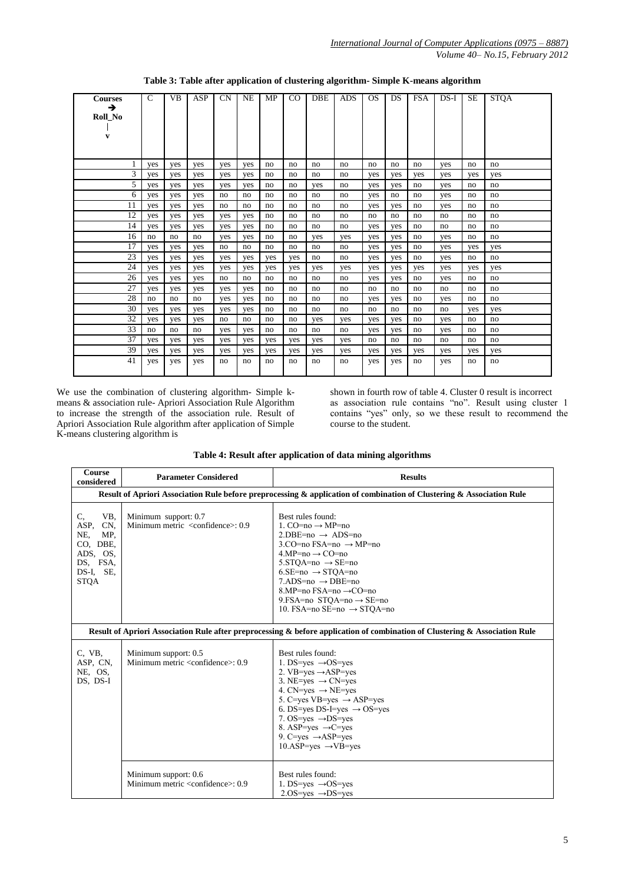| <b>Courses</b><br>→<br>Roll_No<br>V | $\mathsf{C}$ | <b>VB</b> | ASP | <b>CN</b> | NE  | MP  | $_{\rm CO}$ | <b>DBE</b> | <b>ADS</b> | <sub>OS</sub> | DS  | <b>FSA</b> | $DS-I$ | <b>SE</b> | <b>STQA</b> |
|-------------------------------------|--------------|-----------|-----|-----------|-----|-----|-------------|------------|------------|---------------|-----|------------|--------|-----------|-------------|
|                                     | yes          | yes       | yes | yes       | yes | no  | no          | no         | no         | no            | no  | no         | yes    | no        | no          |
| 3                                   | yes          | yes       | yes | yes       | yes | no  | no          | no         | no         | yes           | yes | yes        | yes    | yes       | yes         |
| 5                                   | yes          | yes       | yes | yes       | yes | no  | no          | yes        | no         | yes           | yes | no         | yes    | no        | no          |
| 6                                   | yes          | yes       | yes | no        | no  | no  | no          | no         | no         | yes           | no  | no         | yes    | no        | no          |
| 11                                  | yes          | yes       | yes | no        | no  | no  | no          | no         | no         | yes           | yes | no         | yes    | no        | no          |
| 12                                  | yes          | yes       | yes | yes       | yes | no  | no          | no         | no         | no            | no  | no         | no     | no        | no          |
| 14                                  | yes          | yes       | yes | yes       | yes | no  | no          | no         | no         | yes           | yes | no         | no     | no        | no          |
| 16                                  | no           | no        | no  | yes       | yes | no  | no          | yes        | yes        | yes           | yes | no         | yes    | no        | no          |
| 17                                  | yes          | yes       | yes | no        | no  | no  | no          | no         | no         | yes           | yes | no         | yes    | yes       | yes         |
| 23                                  | yes          | yes       | yes | yes       | yes | yes | yes         | no         | no         | yes           | yes | no         | yes    | no        | no          |
| 24                                  | yes          | yes       | yes | yes       | yes | yes | yes         | yes        | yes        | yes           | yes | yes        | yes    | yes       | yes         |
| 26                                  | yes          | yes       | yes | no        | no  | no  | no          | no         | no         | yes           | yes | no         | yes    | no        | no          |
| 27                                  | yes          | yes       | yes | yes       | yes | no  | no          | no         | no         | no            | no  | no         | no     | no        | no          |
| 28                                  | no           | no        | no  | yes       | yes | no  | no          | no         | no         | yes           | yes | no         | yes    | no        | no          |
| 30                                  | yes          | yes       | yes | yes       | yes | no  | no          | no         | no         | no            | no  | no         | no     | yes       | yes         |
| 32                                  | yes          | yes       | yes | no        | no  | no  | no          | yes        | yes        | yes           | yes | no         | yes    | no        | no          |
| 33                                  | no           | no        | no  | yes       | yes | no  | no          | no         | no         | yes           | yes | no         | yes    | no        | no          |
| 37                                  | yes          | yes       | yes | yes       | yes | yes | yes         | yes        | yes        | no            | no  | no         | no     | no        | no          |
| 39                                  | yes          | yes       | yes | yes       | yes | yes | yes         | yes        | yes        | yes           | yes | yes        | yes    | yes       | yes         |
| 41                                  | yes          | yes       | yes | no        | no  | no  | no          | no         | no         | yes           | yes | no         | yes    | no        | no          |

**Table 3: Table after application of clustering algorithm- Simple K-means algorithm**

We use the combination of clustering algorithm- Simple kmeans & association rule- Apriori Association Rule Algorithm to increase the strength of the association rule. Result of Apriori Association Rule algorithm after application of Simple K-means clustering algorithm is

shown in fourth row of table 4. Cluster 0 result is incorrect as association rule contains "no". Result using cluster 1 contains "yes" only, so we these result to recommend the course to the student.

| Table 4: Result after application of data mining algorithms |
|-------------------------------------------------------------|
|-------------------------------------------------------------|

| Course<br>considered                                                                                   | <b>Parameter Considered</b>                                                                                                 | <b>Results</b>                                                                                                                                                                                                                                                                                                                                                                                       |  |  |  |  |  |  |  |  |
|--------------------------------------------------------------------------------------------------------|-----------------------------------------------------------------------------------------------------------------------------|------------------------------------------------------------------------------------------------------------------------------------------------------------------------------------------------------------------------------------------------------------------------------------------------------------------------------------------------------------------------------------------------------|--|--|--|--|--|--|--|--|
|                                                                                                        | Result of Apriori Association Rule before preprocessing & application of combination of Clustering & Association Rule       |                                                                                                                                                                                                                                                                                                                                                                                                      |  |  |  |  |  |  |  |  |
| VB,<br>C,<br>ASP.<br>CN,<br>NE,<br>MP.<br>CO, DBE,<br>ADS, OS,<br>DS, FSA,<br>DS-I, SE,<br><b>STQA</b> | Minimum support: 0.7<br>Minimum metric <confidence>: 0.9</confidence>                                                       | Best rules found:<br>1. CO=no $\rightarrow$ MP=no<br>$2.$ DBE=no $\rightarrow$ ADS=no<br>3.CO=no FSA=no $\rightarrow$ MP=no<br>$4.MP=no \rightarrow CO=no$<br>$5.STOA = no \rightarrow SE = no$<br>$6.SE=no \rightarrow STOA=no$<br>$7.ADS=no \rightarrow DBE=no$<br>8.MP=no $\text{FSA}$ =no $\rightarrow$ CO=no<br>9. FSA=no STQA=no $\rightarrow$ SE=no<br>10. FSA=no SE=no $\rightarrow$ STOA=no |  |  |  |  |  |  |  |  |
|                                                                                                        | Result of Apriori Association Rule after preprocessing & before application of combination of Clustering & Association Rule |                                                                                                                                                                                                                                                                                                                                                                                                      |  |  |  |  |  |  |  |  |
| C, VB,<br>ASP, CN,<br>NE, OS,<br>DS, DS-I                                                              | Minimum support: 0.5<br>Minimum metric <confidence>: 0.9</confidence>                                                       | Best rules found:<br>1. DS=yes $\rightarrow$ OS=yes<br>2. VB=yes $\rightarrow$ ASP=yes<br>3. NE=yes $\rightarrow$ CN=yes<br>4. CN=yes $\rightarrow$ NE=yes<br>5. C=yes VB=yes $\rightarrow$ ASP=yes<br>6. DS=yes DS-I=yes $\rightarrow$ OS=yes<br>7. OS=yes $\rightarrow$ DS=yes<br>8. ASP=yes $\rightarrow$ C=yes<br>9. C=yes $\rightarrow$ ASP=yes<br>$10.ASP = yes \rightarrow VB = yes$          |  |  |  |  |  |  |  |  |
|                                                                                                        | Minimum support: 0.6<br>Minimum metric <confidence>: 0.9</confidence>                                                       | Best rules found:<br>1. DS=yes $\rightarrow$ OS=yes<br>$2.0S = yes \rightarrow DS = yes$                                                                                                                                                                                                                                                                                                             |  |  |  |  |  |  |  |  |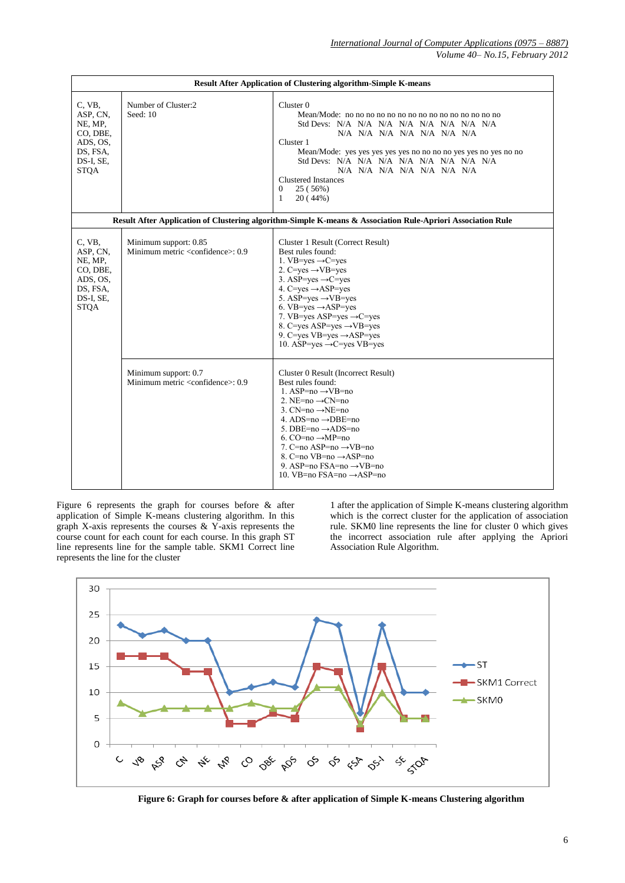|                                                                                               |                                                                        | <b>Result After Application of Clustering algorithm-Simple K-means</b>                                                                                                                                                                                                                                                                                                                                                                  |
|-----------------------------------------------------------------------------------------------|------------------------------------------------------------------------|-----------------------------------------------------------------------------------------------------------------------------------------------------------------------------------------------------------------------------------------------------------------------------------------------------------------------------------------------------------------------------------------------------------------------------------------|
| C, VB,<br>ASP, CN,<br>NE, MP,<br>CO, DBE,<br>ADS, OS,<br>DS, FSA,<br>DS-I, SE,<br><b>STQA</b> | Number of Cluster:2<br>Seed: 10                                        | Cluster 0<br>Std Devs: N/A N/A N/A N/A N/A N/A N/A N/A<br>N/A N/A N/A N/A N/A N/A N/A<br>Cluster 1<br>Mean/Mode: yes yes yes yes yes no no no no yes yes no yes no no<br>Std Devs: N/A N/A N/A N/A N/A N/A N/A N/A<br>N/A N/A N/A N/A N/A N/A N/A<br><b>Clustered Instances</b><br>$\theta$<br>25 (56%)<br>1<br>20(44%)                                                                                                                 |
|                                                                                               |                                                                        | Result After Application of Clustering algorithm-Simple K-means & Association Rule-Apriori Association Rule                                                                                                                                                                                                                                                                                                                             |
| C, VB,<br>ASP, CN,<br>NE, MP,<br>CO, DBE,<br>ADS, OS,<br>DS, FSA,<br>DS-I, SE,<br><b>STQA</b> | Minimum support: 0.85<br>Minimum metric <confidence>: 0.9</confidence> | Cluster 1 Result (Correct Result)<br>Best rules found:<br>1. VB=yes $\rightarrow$ C=yes<br>2. C=yes $\rightarrow$ VB=yes<br>3. ASP=yes $\rightarrow$ C=yes<br>4. C=yes $\rightarrow$ ASP=yes<br>5. ASP=yes $\rightarrow$ VB=yes<br>6. VB=yes $\rightarrow$ ASP=yes<br>7. VB=yes ASP=yes $\rightarrow$ C=yes<br>8. C=yes ASP=yes $\rightarrow$ VB=yes<br>9. C=yes VB=yes $\rightarrow$ ASP=yes<br>10. ASP=yes $\rightarrow$ C=yes VB=yes |
|                                                                                               | Minimum support: 0.7<br>Minimum metric <confidence>: 0.9</confidence>  | Cluster 0 Result (Incorrect Result)<br>Best rules found:<br>1. ASP=no $\rightarrow$ VB=no<br>2. NE= $no \rightarrow CN=no$<br>3. CN=no $\rightarrow$ NE=no<br>4. ADS=no $\rightarrow$ DBE=no<br>5. DBE=no $\rightarrow$ ADS=no<br>6. CO=no $\rightarrow$ MP=no<br>7. C=no ASP=no $\rightarrow$ VB=no<br>8. C=no $VB=no \rightarrow ASP=no$<br>9. ASP=no FSA=no $\rightarrow$ VB=no<br>10. VB=no FSA=no $\rightarrow$ ASP=no             |

Figure 6 represents the graph for courses before & after application of Simple K-means clustering algorithm. In this graph X-axis represents the courses  $&$  Y-axis represents the course count for each count for each course. In this graph ST line represents line for the sample table. SKM1 Correct line represents the line for the cluster

1 after the application of Simple K-means clustering algorithm which is the correct cluster for the application of association rule. SKM0 line represents the line for cluster 0 which gives the incorrect association rule after applying the Apriori Association Rule Algorithm.



**Figure 6: Graph for courses before & after application of Simple K-means Clustering algorithm**